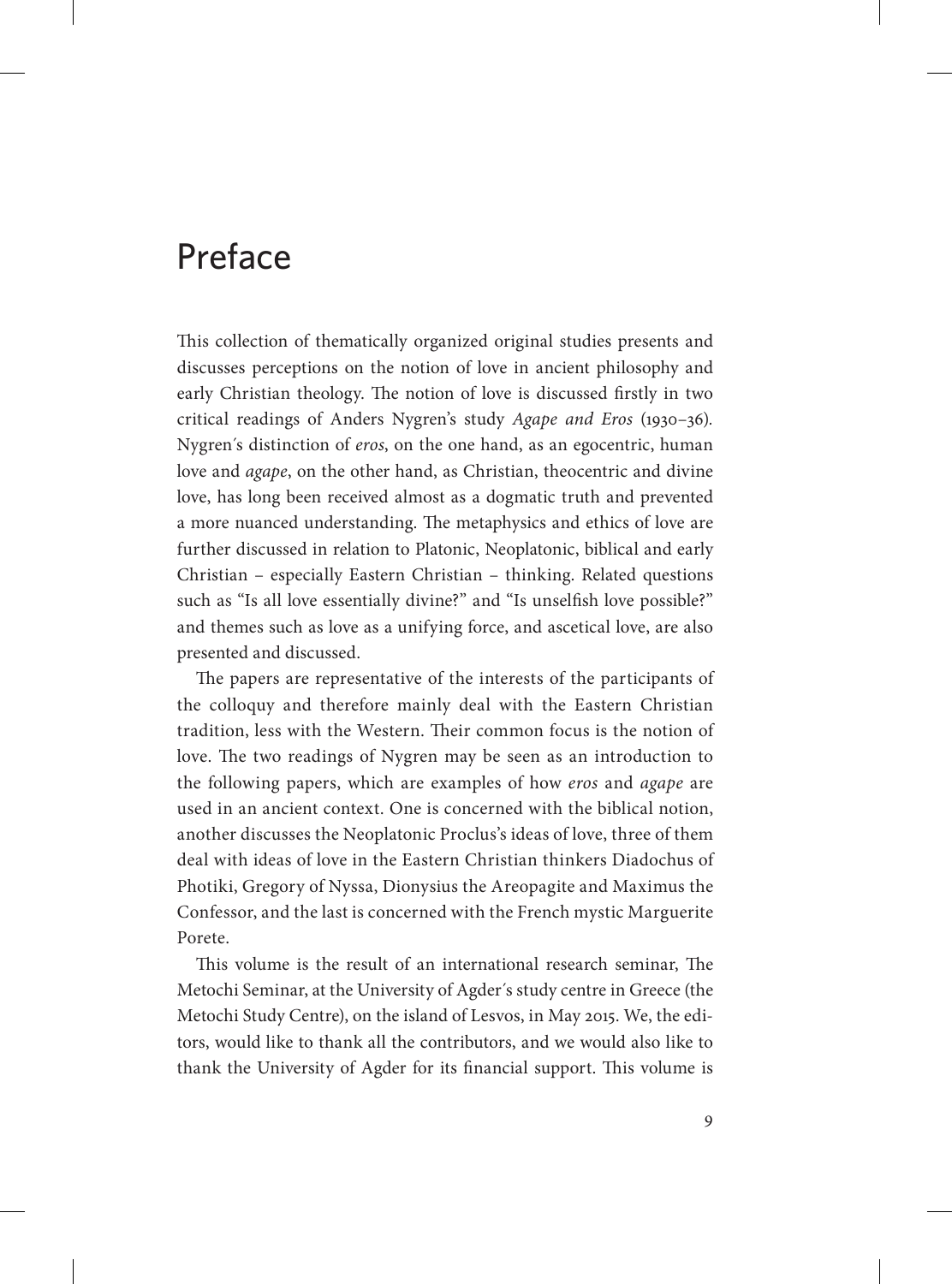## Preface

This collection of thematically organized original studies presents and discusses perceptions on the notion of love in ancient philosophy and early Christian theology. The notion of love is discussed firstly in two critical readings of Anders Nygren's study *Agape and Eros* (1930–36)*.* Nygren´s distinction of *eros*, on the one hand, as an egocentric, human love and *agape*, on the other hand, as Christian, theocentric and divine love, has long been received almost as a dogmatic truth and prevented a more nuanced understanding. The metaphysics and ethics of love are further discussed in relation to Platonic, Neoplatonic, biblical and early Christian – especially Eastern Christian – thinking. Related questions such as "Is all love essentially divine?" and "Is unselfish love possible?" and themes such as love as a unifying force, and ascetical love, are also presented and discussed.

The papers are representative of the interests of the participants of the colloquy and therefore mainly deal with the Eastern Christian tradition, less with the Western. Their common focus is the notion of love. The two readings of Nygren may be seen as an introduction to the following papers, which are examples of how *eros* and *agape* are used in an ancient context. One is concerned with the biblical notion, another discusses the Neoplatonic Proclus's ideas of love, three of them deal with ideas of love in the Eastern Christian thinkers Diadochus of Photiki, Gregory of Nyssa, Dionysius the Areopagite and Maximus the Confessor, and the last is concerned with the French mystic Marguerite Porete.

This volume is the result of an international research seminar, The Metochi Seminar, at the University of Agder´s study centre in Greece (the Metochi Study Centre), on the island of Lesvos, in May 2015. We, the editors, would like to thank all the contributors, and we would also like to thank the University of Agder for its financial support. This volume is